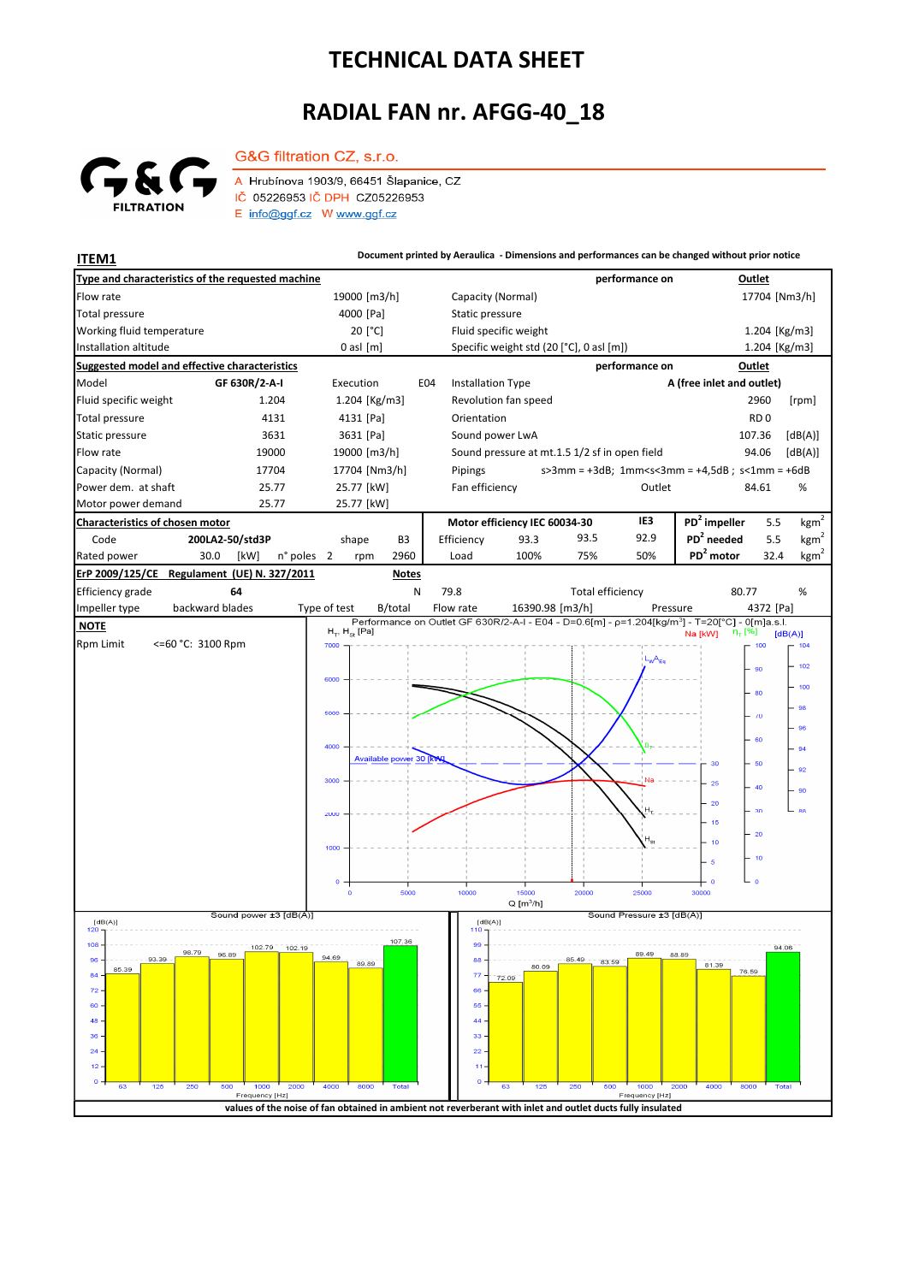## **TECHNICAL DATA SHEET**

## **RADIAL FAN nr. AFGG-40\_18**



A Hrubínova 1903/9, 66451 Šlapanice, CZ IČ 05226953 IČ DPH CZ05226953 E info@ggf.cz W www.ggf.cz

G&G filtration CZ, s.r.o.

**ITEM1 ITEM1 Document printed by Aeraulica** - Dimensions and performances can be changed without prior notice

| Type and characteristics of the requested machine       |                             |                                                                                                            |                         |                  |                               |                       |                                               |                          |                 |                                          | performance on                 |                                                                                                            | <b>Outlet</b>             |                  |  |
|---------------------------------------------------------|-----------------------------|------------------------------------------------------------------------------------------------------------|-------------------------|------------------|-------------------------------|-----------------------|-----------------------------------------------|--------------------------|-----------------|------------------------------------------|--------------------------------|------------------------------------------------------------------------------------------------------------|---------------------------|------------------|--|
| Flow rate                                               | 19000 [m3/h]                |                                                                                                            |                         |                  | Capacity (Normal)             |                       |                                               |                          |                 |                                          | 17704 [Nm3/h]                  |                                                                                                            |                           |                  |  |
| <b>Total pressure</b>                                   |                             | 4000 [Pa]                                                                                                  |                         |                  |                               | Static pressure       |                                               |                          |                 |                                          |                                |                                                                                                            |                           |                  |  |
| Working fluid temperature                               |                             | 20 [°C]                                                                                                    |                         |                  |                               | Fluid specific weight |                                               |                          |                 |                                          |                                | 1.204 [Kg/m3]                                                                                              |                           |                  |  |
| Installation altitude                                   |                             |                                                                                                            |                         | $0$ asl $[m]$    |                               |                       |                                               |                          |                 | Specific weight std (20 [°C], 0 asl [m]) |                                |                                                                                                            | 1.204 [Kg/m3]             |                  |  |
| <b>Suggested model and effective characteristics</b>    |                             |                                                                                                            |                         |                  |                               |                       |                                               |                          |                 |                                          | performance on                 |                                                                                                            | Outlet                    |                  |  |
| Model<br>GF 630R/2-A-I                                  |                             |                                                                                                            |                         | Execution<br>E04 |                               |                       |                                               | <b>Installation Type</b> |                 |                                          |                                |                                                                                                            | A (free inlet and outlet) |                  |  |
| Fluid specific weight                                   |                             | 1.204                                                                                                      | 1.204 [Kg/m3]           |                  |                               |                       | Revolution fan speed                          |                          |                 |                                          |                                |                                                                                                            | 2960                      | [rpm]            |  |
| <b>Total pressure</b>                                   | 4131                        |                                                                                                            |                         | 4131 [Pa]        |                               |                       | Orientation                                   |                          |                 |                                          |                                |                                                                                                            | RD <sub>0</sub>           |                  |  |
| Static pressure<br>3631                                 |                             |                                                                                                            | 3631 [Pa]               |                  |                               |                       |                                               | Sound power LwA          |                 |                                          |                                |                                                                                                            | 107.36                    | [dB(A)]          |  |
| Flow rate<br>19000                                      |                             |                                                                                                            | 19000 [m3/h]            |                  |                               |                       | Sound pressure at mt.1.5 1/2 sf in open field |                          |                 |                                          |                                |                                                                                                            | 94.06                     | [dB(A)]          |  |
| Capacity (Normal)<br>17704                              |                             |                                                                                                            | 17704 [Nm3/h]           |                  |                               |                       | Pipings                                       |                          |                 |                                          |                                | $s > 3$ mm = +3dB; 1mm <s<3mm +4,5db;="" =="" s<1mm="+6dB&lt;/td"><td></td><td></td></s<3mm>               |                           |                  |  |
| Power dem. at shaft<br>25.77                            |                             |                                                                                                            | 25.77 [kW]              |                  |                               |                       | Fan efficiency                                |                          |                 |                                          | Outlet                         |                                                                                                            | 84.61                     | %                |  |
| Motor power demand<br>25.77                             |                             |                                                                                                            |                         | 25.77 [kW]       |                               |                       |                                               |                          |                 |                                          |                                |                                                                                                            |                           |                  |  |
| Characteristics of chosen motor                         |                             |                                                                                                            |                         |                  | Motor efficiency IEC 60034-30 |                       |                                               |                          | IE3             | PD <sup>2</sup> impeller                 | 5.5                            | kgm <sup>2</sup>                                                                                           |                           |                  |  |
| Code<br>200LA2-50/std3P                                 |                             |                                                                                                            | shape<br>B <sub>3</sub> |                  |                               |                       | Efficiency                                    |                          | 93.3            | 93.5                                     | 92.9                           | PD <sup>2</sup> needed                                                                                     | 5.5                       | kgm <sup>2</sup> |  |
| Rated power                                             | 30.0<br>[kW]                | n° poles                                                                                                   | $\overline{2}$          | rpm              | 2960                          |                       | Load                                          |                          | 100%            | 75%                                      | 50%                            | PD <sup>2</sup> motor                                                                                      | 32.4                      | kgm <sup>2</sup> |  |
| ErP 2009/125/CE                                         | Regulament (UE) N. 327/2011 |                                                                                                            |                         |                  | <b>Notes</b>                  |                       |                                               |                          |                 |                                          |                                |                                                                                                            |                           |                  |  |
| Efficiency grade                                        | 64                          |                                                                                                            |                         |                  | N                             |                       | 79.8                                          |                          |                 | <b>Total efficiency</b>                  |                                |                                                                                                            | 80.77                     | %                |  |
| Impeller type                                           | backward blades             |                                                                                                            | Type of test            |                  | B/total                       |                       | Flow rate                                     |                          | 16390.98 [m3/h] |                                          |                                | Pressure                                                                                                   | 4372 [Pa]                 |                  |  |
| <b>NOTE</b>                                             |                             |                                                                                                            |                         |                  |                               |                       |                                               |                          |                 |                                          |                                | Performance on Outlet GF 630R/2-A-I - E04 - D=0.6[m] - p=1.204[kg/m <sup>3</sup> ] - T=20[°C] - 0[m]a.s.l. |                           |                  |  |
| <b>Rpm Limit</b><br><= 60 °C: 3100 Rpm                  | 7000                        | $H_T$ , $H_{St}$ [Pa]                                                                                      |                         |                  |                               |                       |                                               |                          |                 | Na [kW]                                  | η <sub>τ</sub> [%]<br>100      | [dB(A)]<br>104                                                                                             |                           |                  |  |
|                                                         |                             |                                                                                                            |                         |                  |                               |                       |                                               |                          |                 |                                          | L <sub>W</sub> A <sub>Eq</sub> |                                                                                                            |                           | 102              |  |
|                                                         |                             |                                                                                                            | 6000                    |                  |                               |                       |                                               |                          |                 |                                          |                                |                                                                                                            | 90                        |                  |  |
|                                                         |                             |                                                                                                            |                         |                  |                               |                       |                                               |                          |                 |                                          |                                |                                                                                                            | 80                        | 100              |  |
|                                                         |                             |                                                                                                            |                         |                  |                               |                       |                                               |                          |                 |                                          |                                |                                                                                                            | $-70$                     | 98               |  |
|                                                         |                             |                                                                                                            |                         |                  |                               |                       |                                               |                          |                 |                                          |                                |                                                                                                            |                           | 96               |  |
|                                                         |                             |                                                                                                            |                         |                  |                               |                       |                                               |                          |                 |                                          |                                |                                                                                                            | 60                        | 94               |  |
|                                                         |                             |                                                                                                            |                         |                  | Available power 30 [kt        |                       |                                               |                          |                 |                                          |                                | 30                                                                                                         | 50                        |                  |  |
|                                                         |                             |                                                                                                            | 3000                    |                  |                               |                       |                                               |                          |                 |                                          |                                | 25                                                                                                         |                           | 92               |  |
|                                                         |                             |                                                                                                            |                         |                  |                               |                       |                                               |                          |                 |                                          |                                |                                                                                                            | 40                        | 90               |  |
|                                                         |                             |                                                                                                            |                         |                  |                               |                       |                                               |                          |                 |                                          |                                | -20                                                                                                        | 30                        | 88               |  |
|                                                         |                             |                                                                                                            |                         |                  |                               |                       |                                               |                          |                 |                                          |                                | 15                                                                                                         | $-20$                     |                  |  |
|                                                         |                             |                                                                                                            | 1000                    |                  |                               |                       |                                               |                          |                 |                                          | $H_{\rm St}$                   | 10                                                                                                         |                           |                  |  |
|                                                         |                             |                                                                                                            |                         |                  |                               |                       |                                               |                          |                 |                                          |                                | 5                                                                                                          | $-10$                     |                  |  |
|                                                         |                             |                                                                                                            | o                       |                  |                               |                       |                                               |                          |                 |                                          |                                | C                                                                                                          | ە جا                      |                  |  |
|                                                         |                             |                                                                                                            |                         | $\circ$          | 5000                          |                       | 10000                                         |                          | 15000           | 20000                                    | 25000                          | 30000                                                                                                      |                           |                  |  |
|                                                         |                             | $Q[m^3/h]$<br>Sound Pressure ±3 [dB(A)]<br>[dB(A)]                                                         |                         |                  |                               |                       |                                               |                          |                 |                                          |                                |                                                                                                            |                           |                  |  |
| Sound power ±3 [dB(A)]<br>[dB(A)]<br>120                |                             |                                                                                                            |                         |                  |                               |                       |                                               |                          |                 |                                          |                                |                                                                                                            |                           |                  |  |
| 107.36<br>$108 -$<br>102.79<br>102.19<br>98.79<br>96.89 |                             |                                                                                                            |                         |                  |                               |                       | 99                                            |                          |                 |                                          | 89.49                          | 88.89                                                                                                      |                           | 94.06            |  |
| 93.39<br>$96 -$<br>85.39                                | 94.69<br>89.89              |                                                                                                            |                         | $88 -$           |                               | 80.09                 | 85,49<br>83.59                                |                          | 81.39           |                                          |                                |                                                                                                            |                           |                  |  |
| $84 -$                                                  |                             |                                                                                                            |                         |                  |                               |                       | $77 -$                                        | 72.09                    |                 |                                          |                                |                                                                                                            | 76.59                     |                  |  |
| 72.<br>60                                               |                             |                                                                                                            |                         |                  |                               |                       | 66<br>55                                      |                          |                 |                                          |                                |                                                                                                            |                           |                  |  |
| 48                                                      |                             |                                                                                                            |                         |                  |                               |                       | 44                                            |                          |                 |                                          |                                |                                                                                                            |                           |                  |  |
| 36                                                      |                             |                                                                                                            |                         |                  |                               |                       | 33                                            |                          |                 |                                          |                                |                                                                                                            |                           |                  |  |
| 24                                                      |                             |                                                                                                            |                         |                  |                               |                       | 22                                            |                          |                 |                                          |                                |                                                                                                            |                           |                  |  |
| 12                                                      |                             |                                                                                                            |                         |                  |                               |                       |                                               |                          |                 |                                          |                                |                                                                                                            |                           |                  |  |
| o<br>125<br>250<br>63                                   | 500                         | 1000<br>2000                                                                                               | 4000                    | 8000             | <b>Total</b>                  |                       | o                                             | 63                       | 125             | 250<br>500                               | 1000                           | 2000<br>4000                                                                                               | 8000<br>Total             |                  |  |
|                                                         |                             | Frequency [Hz]                                                                                             |                         |                  |                               |                       |                                               |                          |                 |                                          | Frequency [Hz]                 |                                                                                                            |                           |                  |  |
|                                                         |                             | values of the noise of fan obtained in ambient not reverberant with inlet and outlet ducts fully insulated |                         |                  |                               |                       |                                               |                          |                 |                                          |                                |                                                                                                            |                           |                  |  |